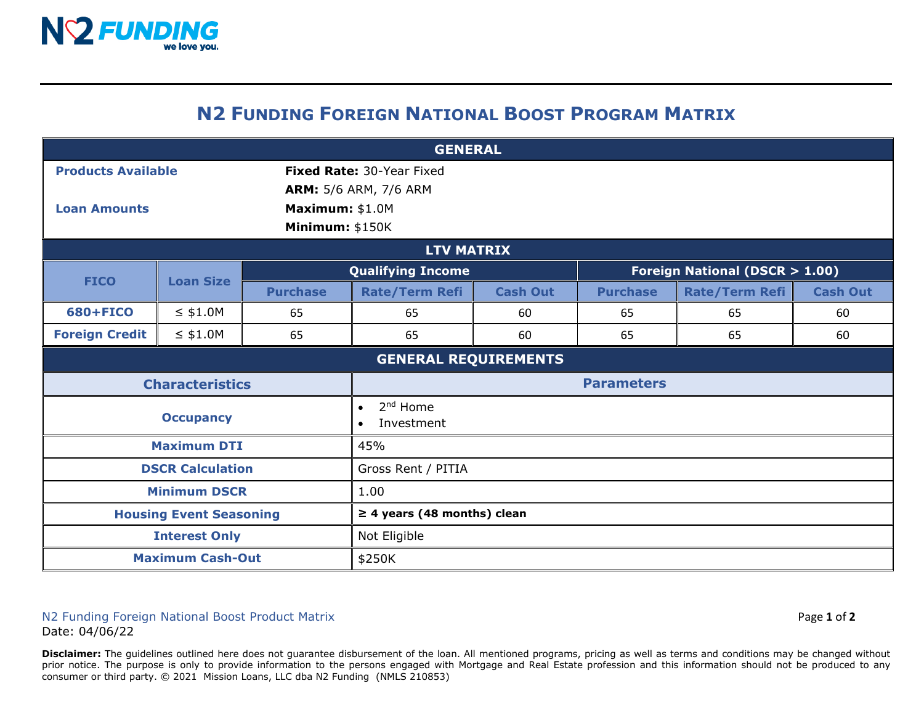

## **N2 FUNDING FOREIGN NATIONAL BOOST PROGRAM MATRIX**

| <b>GENERAL</b>                         |                  |                              |                                                    |                                          |                 |                       |                 |  |
|----------------------------------------|------------------|------------------------------|----------------------------------------------------|------------------------------------------|-----------------|-----------------------|-----------------|--|
| <b>Products Available</b>              |                  |                              | Fixed Rate: 30-Year Fixed                          |                                          |                 |                       |                 |  |
|                                        |                  | <b>ARM:</b> 5/6 ARM, 7/6 ARM |                                                    |                                          |                 |                       |                 |  |
| Maximum: \$1.0M<br><b>Loan Amounts</b> |                  |                              |                                                    |                                          |                 |                       |                 |  |
| Minimum: \$150K                        |                  |                              |                                                    |                                          |                 |                       |                 |  |
| <b>LTV MATRIX</b>                      |                  |                              |                                                    |                                          |                 |                       |                 |  |
| <b>FICO</b>                            | <b>Loan Size</b> | <b>Qualifying Income</b>     |                                                    | <b>Foreign National (DSCR &gt; 1.00)</b> |                 |                       |                 |  |
|                                        |                  | <b>Purchase</b>              | <b>Rate/Term Refi</b>                              | <b>Cash Out</b>                          | <b>Purchase</b> | <b>Rate/Term Refi</b> | <b>Cash Out</b> |  |
| 680+FICO                               | $\leq$ \$1.0M    | 65                           | 65                                                 | 60                                       | 65              | 65                    | 60              |  |
| <b>Foreign Credit</b>                  | $\leq$ \$1.0M    | 65                           | 65                                                 | 60                                       | 65              | 65                    | 60              |  |
| <b>GENERAL REQUIREMENTS</b>            |                  |                              |                                                    |                                          |                 |                       |                 |  |
| <b>Characteristics</b>                 |                  |                              | <b>Parameters</b>                                  |                                          |                 |                       |                 |  |
| <b>Occupancy</b>                       |                  |                              | $2nd$ Home<br>$\bullet$<br>Investment<br>$\bullet$ |                                          |                 |                       |                 |  |
| <b>Maximum DTI</b>                     |                  |                              | 45%                                                |                                          |                 |                       |                 |  |
| <b>DSCR Calculation</b>                |                  |                              | Gross Rent / PITIA                                 |                                          |                 |                       |                 |  |
| <b>Minimum DSCR</b>                    |                  |                              | 1.00                                               |                                          |                 |                       |                 |  |
| <b>Housing Event Seasoning</b>         |                  |                              | $\geq$ 4 years (48 months) clean                   |                                          |                 |                       |                 |  |
| <b>Interest Only</b>                   |                  |                              | Not Eligible                                       |                                          |                 |                       |                 |  |
| <b>Maximum Cash-Out</b>                |                  |                              | \$250K                                             |                                          |                 |                       |                 |  |

N2 Funding Foreign National Boost Product Matrix Page **1** of **2** Date: 04/06/22

**Disclaimer:** The guidelines outlined here does not guarantee disbursement of the loan. All mentioned programs, pricing as well as terms and conditions may be changed without prior notice. The purpose is only to provide information to the persons engaged with Mortgage and Real Estate profession and this information should not be produced to any consumer or third party. © 2021 Mission Loans, LLC dba N2 Funding (NMLS 210853)